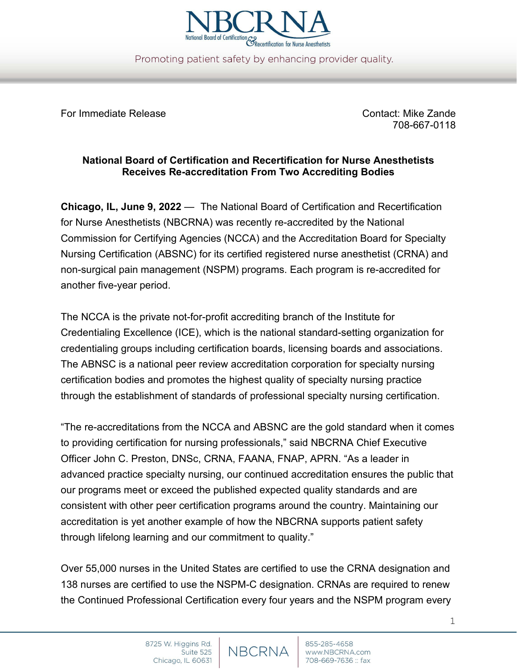

Promoting patient safety by enhancing provider quality.

For Immediate Release Contact: Mike Zande

708-667-0118

## **National Board of Certification and Recertification for Nurse Anesthetists Receives Re-accreditation From Two Accrediting Bodies**

**Chicago, IL, June 9, 2022** — The National Board of Certification and Recertification for Nurse Anesthetists (NBCRNA) was recently re-accredited by the National Commission for Certifying Agencies (NCCA) and the Accreditation Board for Specialty Nursing Certification (ABSNC) for its certified registered nurse anesthetist (CRNA) and non-surgical pain management (NSPM) programs. Each program is re-accredited for another five-year period.

The NCCA is the private not-for-profit accrediting branch of the Institute for Credentialing Excellence (ICE), which is the national standard-setting organization for credentialing groups including certification boards, licensing boards and associations. The ABNSC is a national peer review accreditation corporation for specialty nursing certification bodies and promotes the highest quality of specialty nursing practice through the establishment of standards of professional specialty nursing certification.

"The re-accreditations from the NCCA and ABSNC are the gold standard when it comes to providing certification for nursing professionals," said NBCRNA Chief Executive Officer John C. Preston, DNSc, CRNA, FAANA, FNAP, APRN. "As a leader in advanced practice specialty nursing, our continued accreditation ensures the public that our programs meet or exceed the published expected quality standards and are consistent with other peer certification programs around the country. Maintaining our accreditation is yet another example of how the NBCRNA supports patient safety through lifelong learning and our commitment to quality."

Over 55,000 nurses in the United States are certified to use the CRNA designation and 138 nurses are certified to use the NSPM-C designation. CRNAs are required to renew the Continued Professional Certification every four years and the NSPM program every